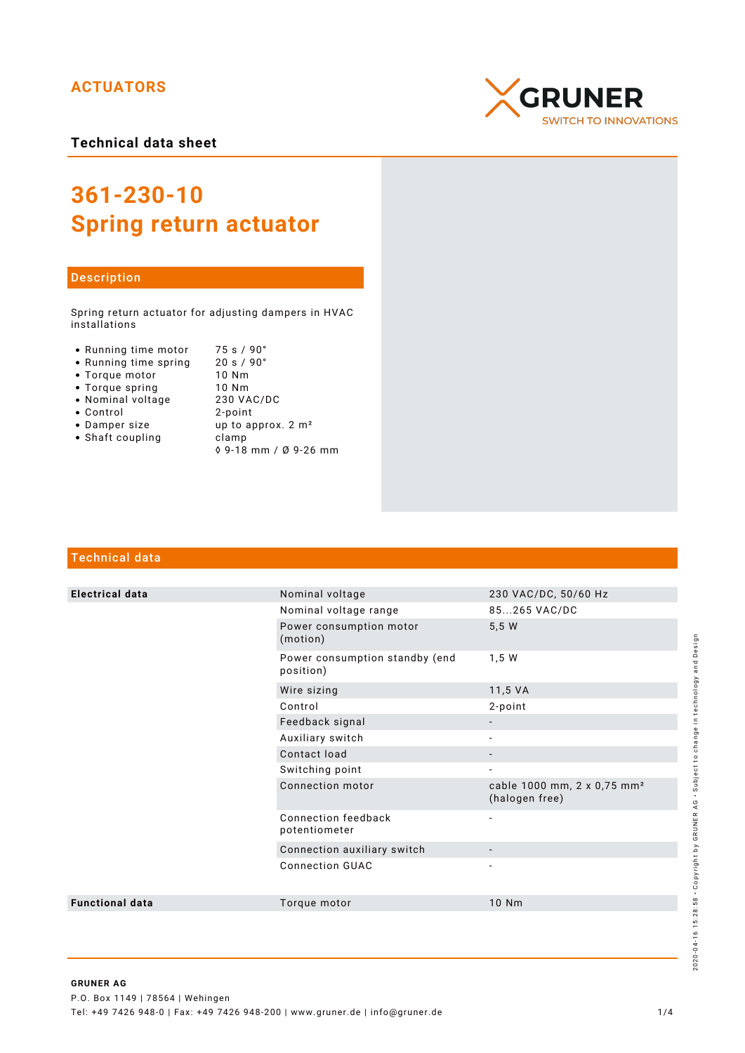## **ACTUATORS**



# **361-230-10 Spring return actuator**

#### Description

Spring return actuator for adjusting dampers in HVAC installations

- Running time motor 75 s / 90°<br>• Running time spring 20 s / 90°
- Running time spring
- Torque motor 10 Nm<br>• Torque spring 10 Nm
- 
- Nominal voltage
- 
- Torque spring 10 Nm<br>• Nominal voltage 230 VAC/DC Control 2-point up to approx.  $2 m<sup>2</sup>$
- Shaft coupling becamp ◊ 9-18 mm / Ø 9-26 mm

### Technical data

| <b>Electrical data</b> | Nominal voltage                             | 230 VAC/DC, 50/60 Hz                                      |
|------------------------|---------------------------------------------|-----------------------------------------------------------|
|                        | Nominal voltage range                       | 85265 VAC/DC                                              |
|                        | Power consumption motor<br>(motion)         | 5,5 W                                                     |
|                        | Power consumption standby (end<br>position) | 1,5 W                                                     |
|                        | Wire sizing                                 | 11,5 VA                                                   |
|                        | Control                                     | 2-point                                                   |
|                        | Feedback signal                             |                                                           |
|                        | Auxiliary switch                            |                                                           |
|                        | Contact load                                | $\qquad \qquad \blacksquare$                              |
|                        | Switching point                             | $\overline{a}$                                            |
|                        | Connection motor                            | cable 1000 mm, 2 x 0,75 mm <sup>2</sup><br>(halogen free) |
|                        | Connection feedback<br>potentiometer        | -                                                         |
|                        | Connection auxiliary switch                 |                                                           |
|                        | <b>Connection GUAC</b>                      | $\overline{\phantom{0}}$                                  |
| <b>Functional data</b> | Torque motor                                | 10 Nm                                                     |
|                        |                                             |                                                           |

# **CRUNER SWITCH TO INNOVATIONS**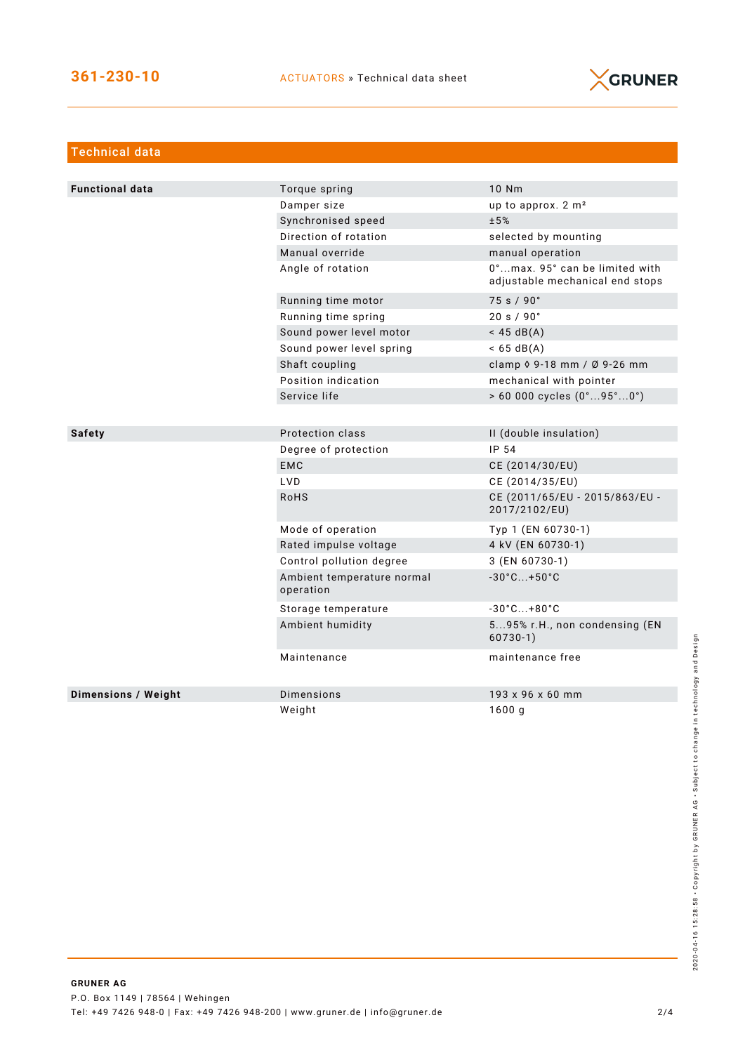

| Technical data             |                                         |                                                                   |
|----------------------------|-----------------------------------------|-------------------------------------------------------------------|
|                            |                                         |                                                                   |
| <b>Functional data</b>     | Torque spring                           | 10 Nm                                                             |
|                            | Damper size                             | up to approx. 2 m <sup>2</sup>                                    |
|                            | Synchronised speed                      | ±5%                                                               |
|                            | Direction of rotation                   | selected by mounting                                              |
|                            | Manual override                         | manual operation                                                  |
|                            | Angle of rotation                       | 0°max. 95° can be limited with<br>adjustable mechanical end stops |
|                            | Running time motor                      | 75 s / 90°                                                        |
|                            | Running time spring                     | 20 s / 90°                                                        |
|                            | Sound power level motor                 | $<$ 45 dB(A)                                                      |
|                            | Sound power level spring                | $< 65 \text{ dB(A)}$                                              |
|                            | Shaft coupling                          | clamp 0 9-18 mm / Ø 9-26 mm                                       |
|                            | Position indication                     | mechanical with pointer                                           |
|                            | Service life                            | > 60 000 cycles (0°95°0°)                                         |
|                            |                                         |                                                                   |
| <b>Safety</b>              | Protection class                        | II (double insulation)                                            |
|                            | Degree of protection                    | IP 54                                                             |
|                            | <b>EMC</b>                              | CE (2014/30/EU)                                                   |
|                            | <b>LVD</b>                              | CE (2014/35/EU)                                                   |
|                            | <b>RoHS</b>                             | CE (2011/65/EU - 2015/863/EU -<br>2017/2102/EU)                   |
|                            | Mode of operation                       | Typ 1 (EN 60730-1)                                                |
|                            | Rated impulse voltage                   | 4 kV (EN 60730-1)                                                 |
|                            | Control pollution degree                | 3 (EN 60730-1)                                                    |
|                            | Ambient temperature normal<br>operation | $-30^{\circ}$ C +50 $^{\circ}$ C                                  |
|                            | Storage temperature                     | $-30^{\circ}$ C +80 $^{\circ}$ C                                  |
|                            | Ambient humidity                        | 595% r.H., non condensing (EN<br>$60730-1)$                       |
|                            | Maintenance                             | maintenance free                                                  |
| <b>Dimensions / Weight</b> | Dimensions                              | 193 x 96 x 60 mm                                                  |
|                            | Weight                                  | 1600q                                                             |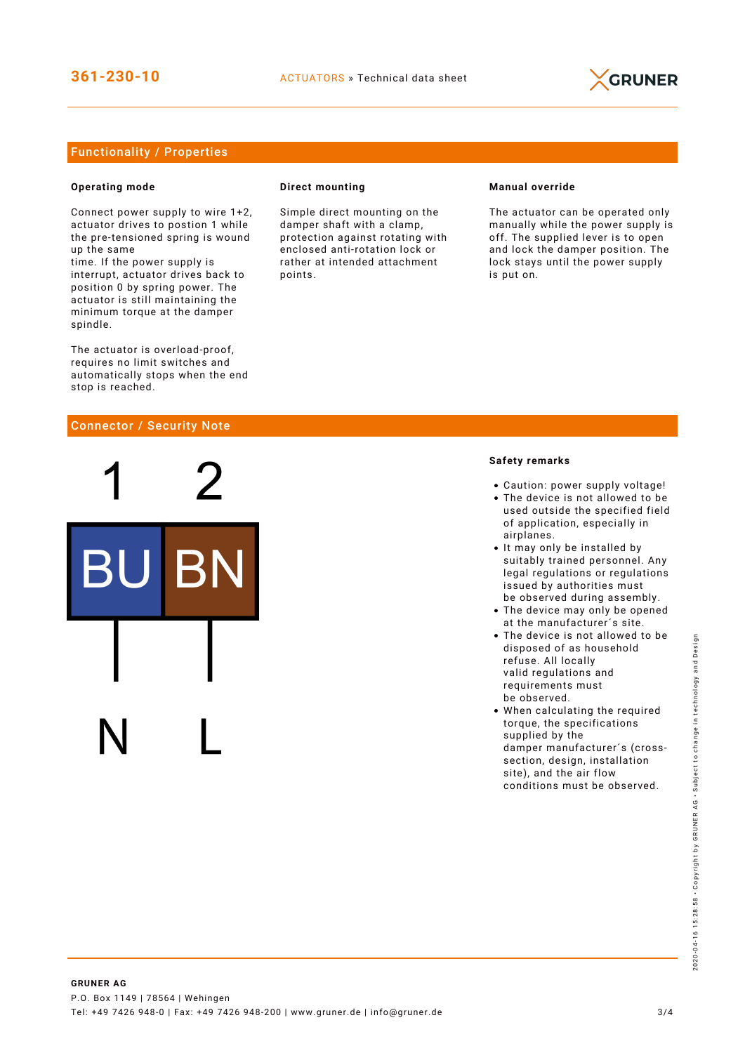

### Functionality / Properties

#### **Operating mode**

Connect power supply to wire 1+2, actuator drives to postion 1 while the pre-tensioned spring is wound up the same

time. If the power supply is interrupt, actuator drives back to position 0 by spring power. The actuator is still maintaining the minimum torque at the damper spindle.

The actuator is overload-proof, requires no limit switches and automatically stops when the end stop is reached.

#### Connector / Security Note

#### **Direct mounting**

Simple direct mounting on the damper shaft with a clamp, protection against rotating with enclosed anti-rotation lock or rather at intended attachment points.

#### **Manual override**

The actuator can be operated only manually while the power supply is off. The supplied lever is to open and lock the damper position. The lock stays until the power supply is put on.

#### **Safety remarks**

- Caution: power supply voltage!
- The device is not allowed to be used outside the specified field of application, especially in airplanes.
- It may only be installed by suitably trained personnel. Any legal regulations or regulations issued by authorities must be observed during assembly.
- The device may only be opened at the manufacturer´s site.
- The device is not allowed to be disposed of as household refuse. All locally valid regulations and requirements must be observed.
- When calculating the required torque, the specifications supplied by the damper manufacturer´s (crosssection, design, installation site), and the air flow conditions must be observed.